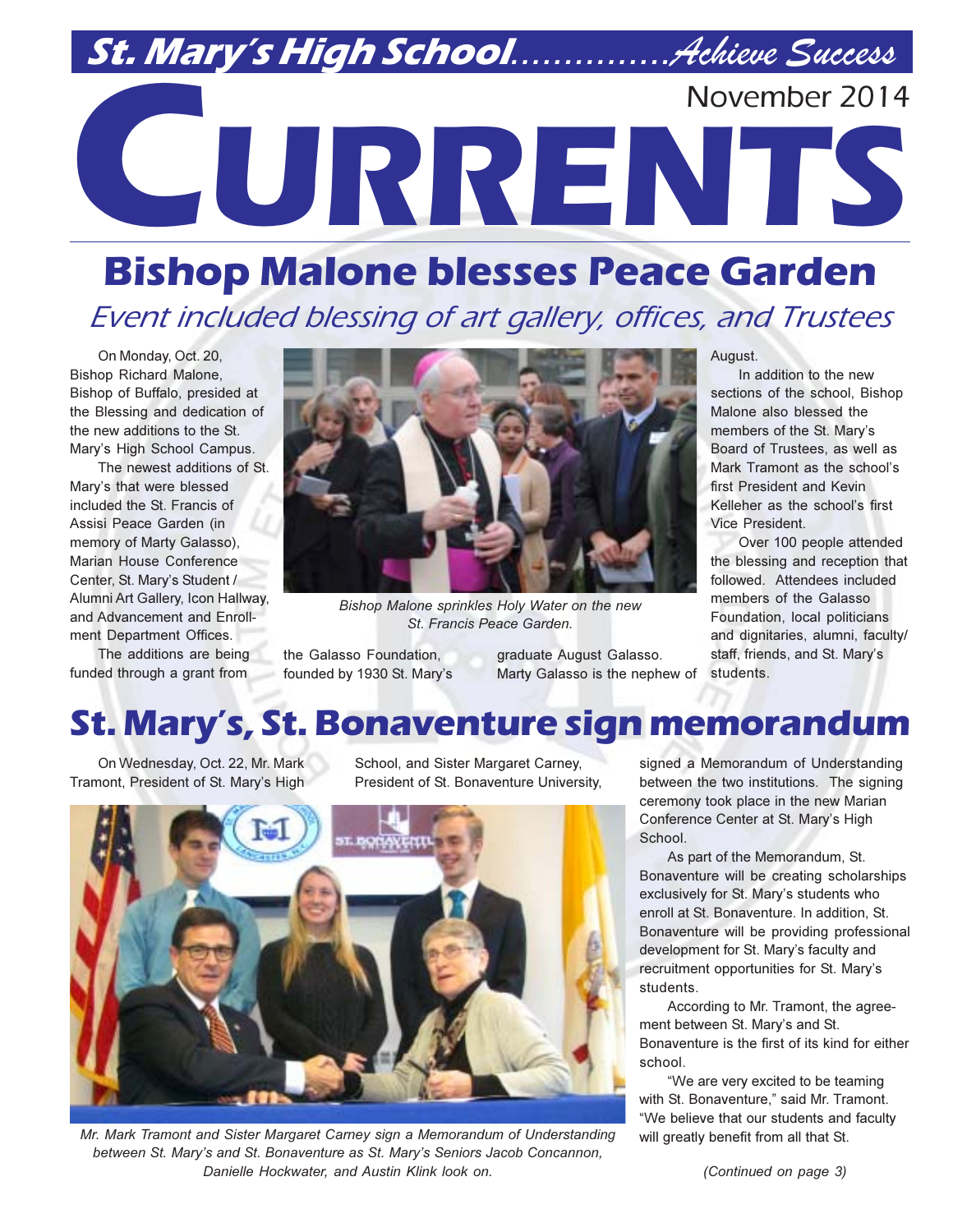## November 2014

# **CORRENTS**

## **Bishop Malone blesses Peace Garden** Event included blessing of art gallery, offices, and Trustees

On Monday, Oct. 20, **Bishop Richard Malone,** Bishop of Buffalo, presided at the Blessing and dedication of the new additions to the St. Mary's High School Campus.

The newest additions of St. Mary's that were blessed included the St. Francis of Assisi Peace Garden (in memory of Marty Galasso). Marian House Conference Center, St. Mary's Student / Alumni Art Gallery, Icon Hallway, and Advancement and Enrollment Department Offices.

The additions are being funded through a grant from



Bishop Malone sprinkles Holy Water on the new St. Francis Peace Garden.

the Galasso Foundation, founded by 1930 St. Mary's graduate August Galasso. Marty Galasso is the nephew of

August.

In addition to the new sections of the school, Bishop Malone also blessed the members of the St. Mary's Board of Trustees as well as Mark Tramont as the school's first President and Kevin Kelleher as the school's first Vice President

Over 100 people attended the blessing and reception that followed. Attendees included members of the Galasso Foundation, local politicians and dignitaries, alumni, faculty/ staff, friends, and St. Mary's students.

## St. Mary's, St. Bonaventure sign memorandum

On Wednesday, Oct. 22, Mr. Mark Tramont, President of St. Mary's High

School, and Sister Margaret Carney, President of St. Bonaventure University,



Mr. Mark Tramont and Sister Margaret Carney sign a Memorandum of Understanding between St. Mary's and St. Bonaventure as St. Mary's Seniors Jacob Concannon, Danielle Hockwater, and Austin Klink look on.

signed a Memorandum of Understanding between the two institutions. The signing ceremony took place in the new Marian Conference Center at St. Mary's High School.

As part of the Memorandum, St. Bonaventure will be creating scholarships exclusively for St. Mary's students who enroll at St. Bonaventure. In addition, St. Bonaventure will be providing professional development for St. Mary's faculty and recruitment opportunities for St. Mary's students.

According to Mr. Tramont, the agreement between St. Mary's and St. Bonaventure is the first of its kind for either school.

"We are very excited to be teaming with St. Bonaventure," said Mr. Tramont. "We believe that our students and faculty will greatly benefit from all that St.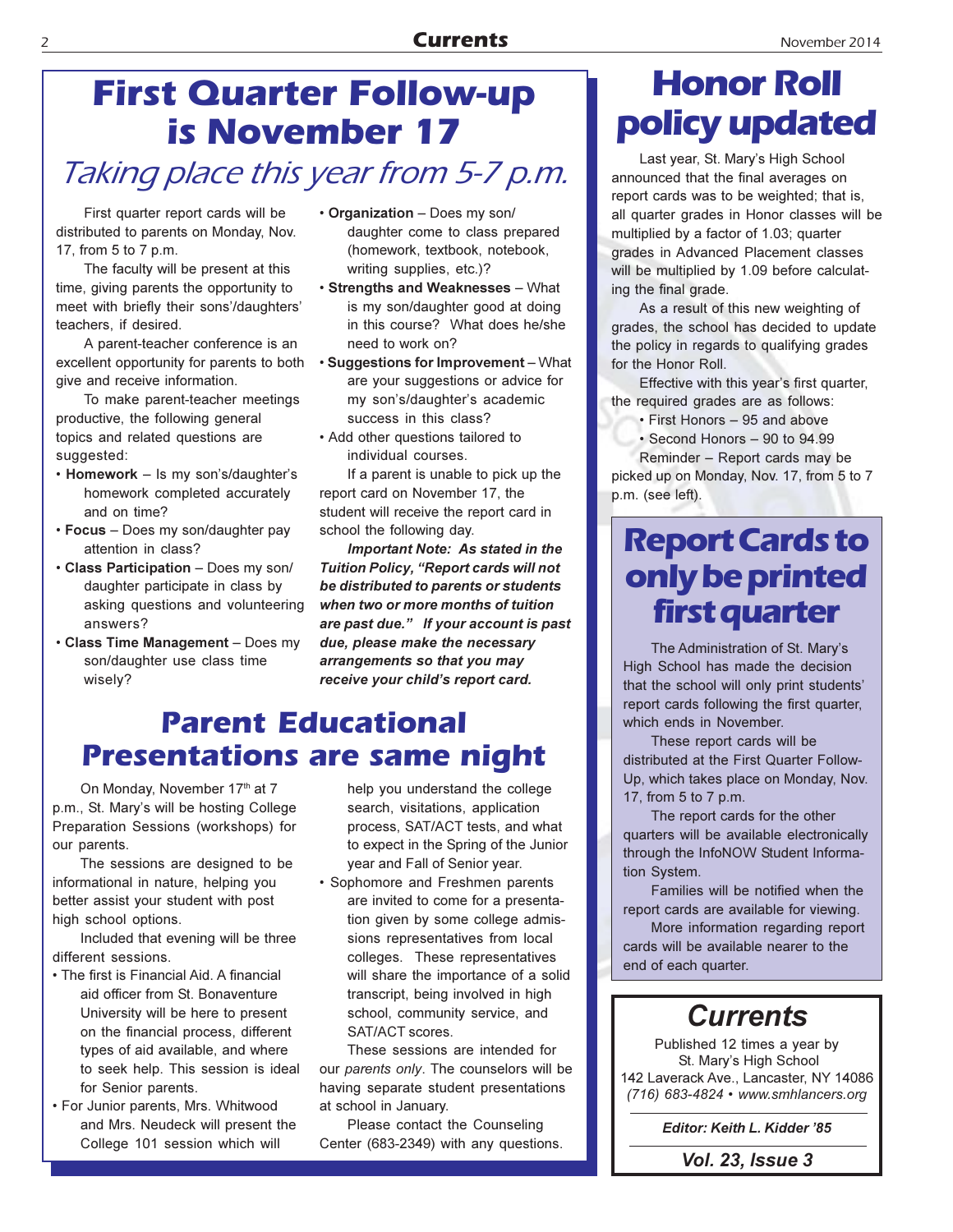## **First Quarter Follow-up is November 17**

## Taking place this year from 5-7 p.m.

First quarter report cards will be distributed to parents on Monday, Nov. 17, from 5 to 7 p.m.

The faculty will be present at this time, giving parents the opportunity to meet with briefly their sons'/daughters' teachers. if desired.

A parent-teacher conference is an excellent opportunity for parents to both give and receive information.

To make parent-teacher meetings productive, the following general topics and related questions are suggested:

- Homework Is my son's/daughter's homework completed accurately and on time?
- Focus Does my son/daughter pay attention in class?
- Class Participation Does my son/ daughter participate in class by asking questions and volunteering answers?
- Class Time Management Does my son/daughter use class time wisely?
- Organization Does my son/ daughter come to class prepared (homework, textbook, notebook, writing supplies, etc.)?
- **· Strengths and Weaknesses What** is my son/daughter good at doing in this course? What does he/she need to work on?
- Suggestions for Improvement What are your suggestions or advice for my son's/daughter's academic success in this class?
- Add other questions tailored to individual courses.

If a parent is unable to pick up the report card on November 17, the student will receive the report card in school the following day.

Important Note: As stated in the Tuition Policy, "Report cards will not be distributed to parents or students when two or more months of tuition are past due." If your account is past due, please make the necessary arrangements so that you may receive your child's report card.

## **Parent Educational Presentations are same night**

On Monday, November 17th at 7 p.m., St. Mary's will be hosting College Preparation Sessions (workshops) for our parents.

The sessions are designed to be informational in nature, helping you better assist your student with post high school options.

Included that evening will be three different sessions.

- The first is Financial Aid. A financial aid officer from St. Bonaventure University will be here to present on the financial process, different types of aid available, and where to seek help. This session is ideal for Senior parents.
- For Junior parents, Mrs. Whitwood and Mrs. Neudeck will present the College 101 session which will

help you understand the college search, visitations, application process. SAT/ACT tests, and what to expect in the Spring of the Junior year and Fall of Senior year.

• Sophomore and Freshmen parents are invited to come for a presentation given by some college admissions representatives from local colleges. These representatives will share the importance of a solid transcript, being involved in high school, community service, and SAT/ACT scores.

These sessions are intended for our parents only. The counselors will be having separate student presentations at school in January.

Please contact the Counseling Center (683-2349) with any questions.

## **Honor Roll** policy updated

Last year, St. Mary's High School announced that the final averages on report cards was to be weighted; that is, all quarter grades in Honor classes will be multiplied by a factor of 1.03; quarter grades in Advanced Placement classes will be multiplied by 1.09 before calculating the final grade.

As a result of this new weighting of grades, the school has decided to update the policy in regards to qualifying grades for the Honor Roll.

Effective with this year's first quarter, the required grades are as follows:

• First Honors - 95 and above

· Second Honors - 90 to 94.99

Reminder - Report cards may be picked up on Monday, Nov. 17, from 5 to 7 p.m. (see left).

## **Report Cards to** only be printed **first quarter**

The Administration of St. Mary's High School has made the decision that the school will only print students' report cards following the first quarter, which ends in November.

These report cards will be distributed at the First Quarter Follow-Up, which takes place on Monday, Nov. 17, from 5 to 7 p.m.

The report cards for the other quarters will be available electronically through the InfoNOW Student Information System.

Families will be notified when the report cards are available for viewing.

More information regarding report cards will be available nearer to the end of each quarter.

## **Currents**

Published 12 times a year by St. Mary's High School 142 Laverack Ave., Lancaster, NY 14086 (716) 683-4824 • www.smhlancers.org

Editor: Keith L. Kidder '85

**Vol. 23, Issue 3** 

#### $\overline{\phantom{0}}$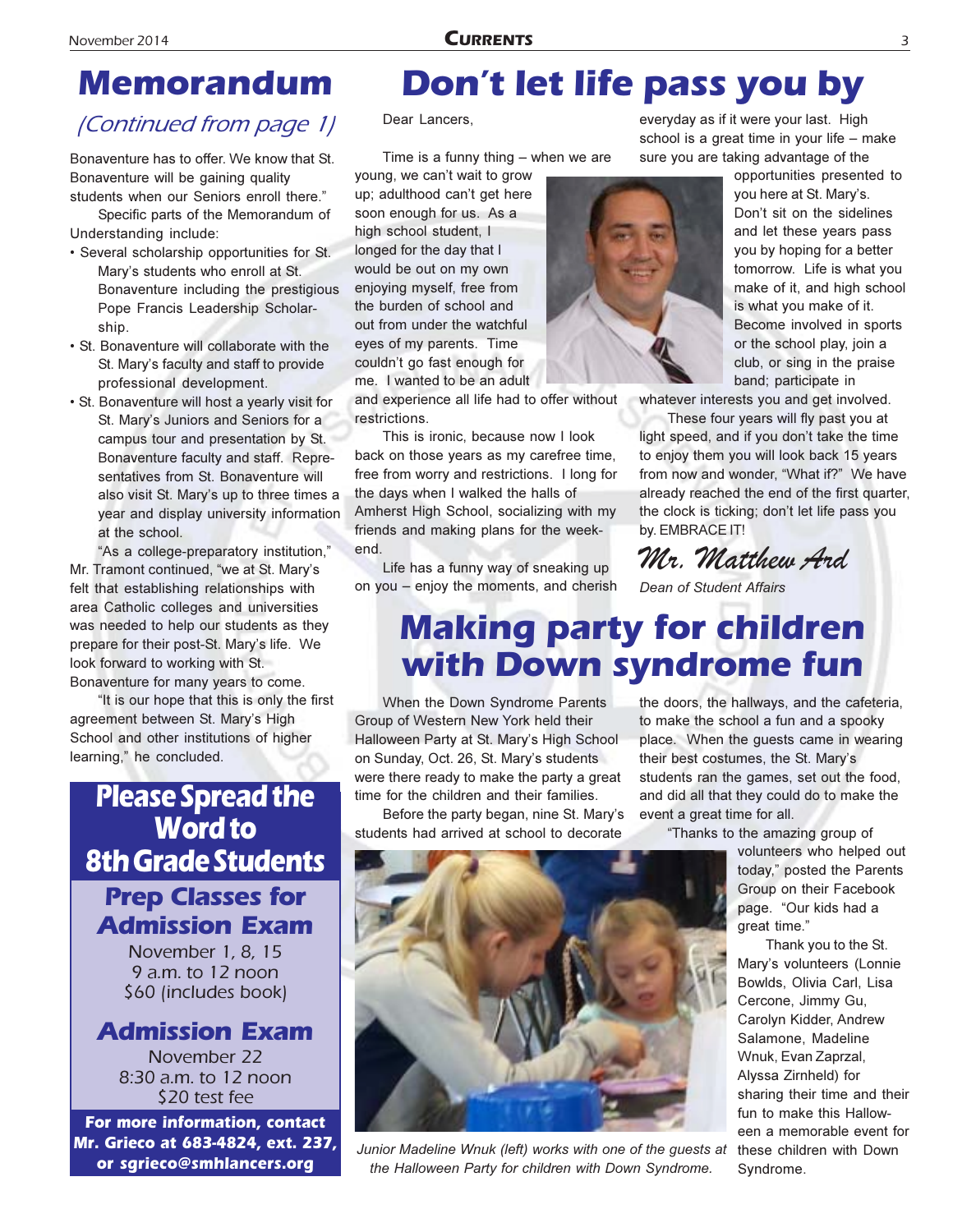## **Memorandum**

### (Continued from page 1)

Bonaventure has to offer. We know that St. Bonaventure will be gaining quality students when our Seniors enroll there."

Specific parts of the Memorandum of Understanding include:

- Several scholarship opportunities for St. Mary's students who enroll at St. Bonaventure including the prestigious Pope Francis Leadership Scholarship.
- · St. Bonaventure will collaborate with the St. Mary's faculty and staff to provide professional development.
- · St. Bonaventure will host a yearly visit for St. Mary's Juniors and Seniors for a campus tour and presentation by St. Bonaventure faculty and staff. Representatives from St. Bonaventure will also visit St. Mary's up to three times a year and display university information at the school.

"As a college-preparatory institution," Mr. Tramont continued, "we at St. Mary's felt that establishing relationships with area Catholic colleges and universities was needed to help our students as they prepare for their post-St. Mary's life. We look forward to working with St. Bonaventure for many years to come.

"It is our hope that this is only the first agreement between St. Mary's High School and other institutions of higher learning," he concluded.

## **Please Spread the Word to 8th Grade Students**

### **Prep Classes for Admission Exam**

November 1, 8, 15 9 a.m. to 12 noon \$60 (includes book)

#### **Admission Exam**

November 22 8:30 a.m. to 12 noon \$20 test fee

For more information, contact Mr. Grieco at 683-4824, ext. 237, or sgrieco@smhlancers.org

## Don't let life pass you by

#### Dear Lancers,

Time is a funny thing  $-$  when we are

young, we can't wait to grow up; adulthood can't get here soon enough for us. As a high school student, I longed for the day that I would be out on my own enjoying myself, free from the burden of school and out from under the watchful eyes of my parents. Time couldn't go fast enough for me. I wanted to be an adult

and experience all life had to offer without restrictions.

This is ironic, because now I look back on those years as my carefree time, free from worry and restrictions. I long for the days when I walked the halls of Amherst High School, socializing with my friends and making plans for the weekend.

Life has a funny way of sneaking up on you - enjoy the moments, and cherish everyday as if it were your last. High school is a great time in your life - make sure you are taking advantage of the

> opportunities presented to you here at St. Mary's. Don't sit on the sidelines and let these years pass you by hoping for a better tomorrow. Life is what you make of it, and high school is what you make of it. Become involved in sports or the school play, join a club, or sing in the praise band; participate in

whatever interests you and get involved.

These four years will fly past you at light speed, and if you don't take the time to enjoy them you will look back 15 years from now and wonder, "What if?" We have already reached the end of the first quarter. the clock is ticking; don't let life pass you by. EMBRACE IT!

Mr. Matthew And

Dean of Student Affairs

## **Making party for children** with Down syndrome fun

When the Down Syndrome Parents Group of Western New York held their Halloween Party at St. Mary's High School on Sunday, Oct. 26, St. Mary's students were there ready to make the party a great time for the children and their families.

Before the party began, nine St. Mary's students had arrived at school to decorate

the doors, the hallways, and the cafeteria, to make the school a fun and a spooky place. When the quests came in wearing their best costumes, the St. Mary's students ran the games, set out the food, and did all that they could do to make the event a great time for all.

"Thanks to the amazing group of

volunteers who helped out today," posted the Parents Group on their Facebook page. "Our kids had a great time."

Thank you to the St. Mary's volunteers (Lonnie Bowlds, Olivia Carl, Lisa Cercone, Jimmy Gu, Carolyn Kidder, Andrew Salamone. Madeline Wnuk. Evan Zaprzal. Alyssa Zirnheld) for sharing their time and their fun to make this Halloween a memorable event for these children with Down Syndrome.



Junior Madeline Wnuk (left) works with one of the quests at the Halloween Party for children with Down Syndrome.

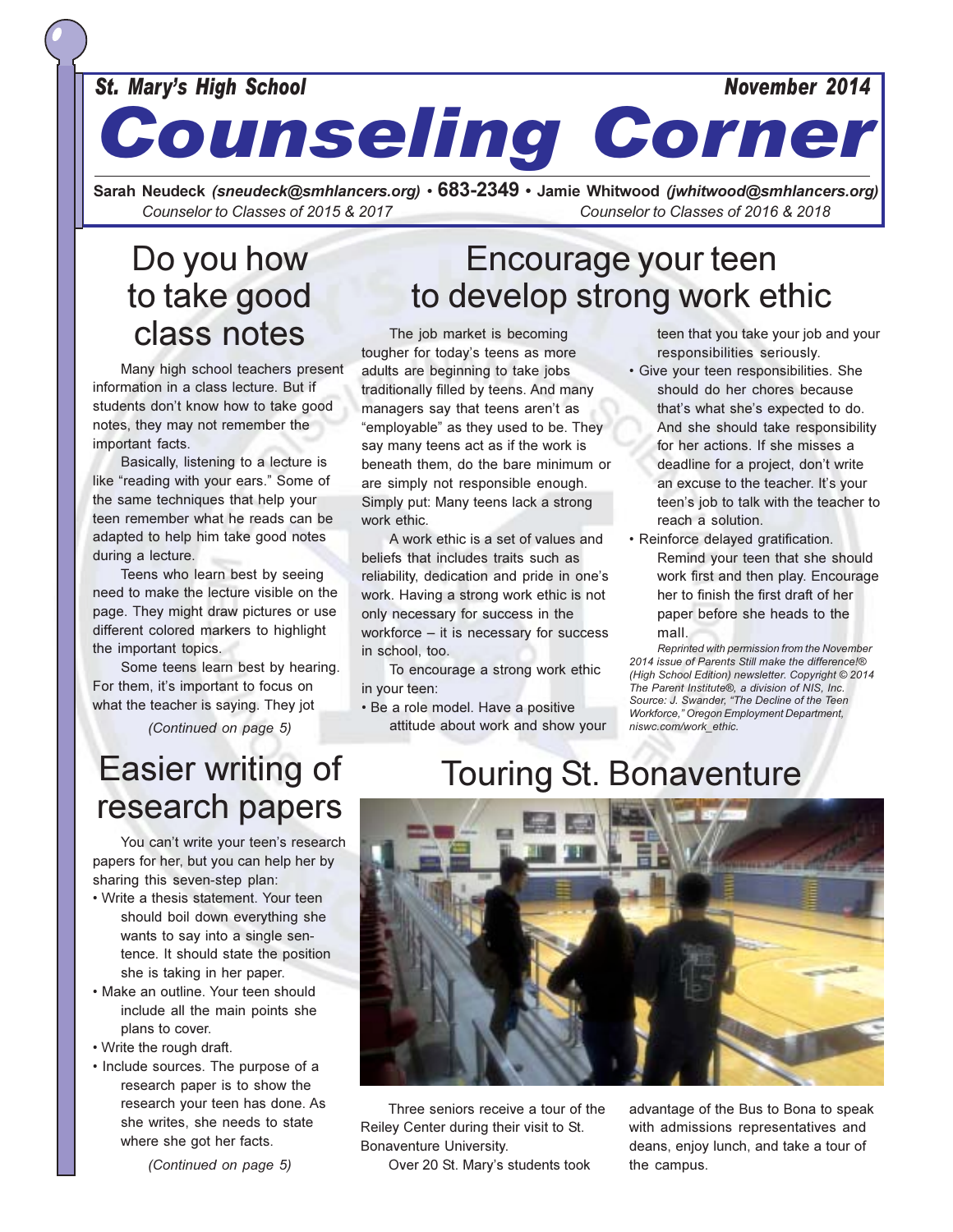#### **St. Mary's High School**

#### November 2014

## **Counseling Corner**

Sarah Neudeck (sneudeck@smhlancers.org) • 683-2349 • Jamie Whitwood (jwhitwood@smhlancers.org) Counselor to Classes of 2015 & 2017 Counselor to Classes of 2016 & 2018

## Do you how to take good class notes

Many high school teachers present information in a class lecture. But if students don't know how to take good notes, they may not remember the important facts.

Basically, listening to a lecture is like "reading with your ears." Some of the same techniques that help your teen remember what he reads can be adapted to help him take good notes during a lecture.

Teens who learn best by seeing need to make the lecture visible on the page. They might draw pictures or use different colored markers to highlight the important topics.

Some teens learn best by hearing. For them, it's important to focus on what the teacher is saying. They jot

(Continued on page 5)

## Encourage your teen to develop strong work ethic

The job market is becoming tougher for today's teens as more adults are beginning to take jobs traditionally filled by teens. And many managers say that teens aren't as "employable" as they used to be. They say many teens act as if the work is beneath them, do the bare minimum or are simply not responsible enough. Simply put: Many teens lack a strong work ethic.

A work ethic is a set of values and beliefs that includes traits such as reliability, dedication and pride in one's work. Having a strong work ethic is not only necessary for success in the workforce - it is necessary for success in school, too.

To encourage a strong work ethic in your teen:

· Be a role model. Have a positive attitude about work and show your teen that you take your job and your responsibilities seriously.

- · Give your teen responsibilities. She should do her chores because that's what she's expected to do. And she should take responsibility for her actions. If she misses a deadline for a project, don't write an excuse to the teacher. It's your teen's job to talk with the teacher to reach a solution.
- · Reinforce delayed gratification. Remind your teen that she should work first and then play. Encourage her to finish the first draft of her paper before she heads to the mall

Reprinted with permission from the November 2014 issue of Parents Still make the difference!® (High School Edition) newsletter. Copyright © 2014 The Parent Institute®, a division of NIS, Inc. Source: J. Swander, "The Decline of the Teen Workforce," Oregon Employment Department, niswc.com/work\_ethic.

## **Easier writing of** research papers

You can't write your teen's research papers for her, but you can help her by sharing this seven-step plan:

- Write a thesis statement. Your teen should boil down everything she wants to say into a single sentence. It should state the position she is taking in her paper.
- Make an outline. Your teen should include all the main points she plans to cover.
- Write the rough draft.
- Include sources. The purpose of a research paper is to show the research your teen has done. As she writes, she needs to state where she got her facts.

(Continued on page 5)

## **Touring St. Bonaventure**



Three seniors receive a tour of the Reiley Center during their visit to St. Bonaventure University.

Over 20 St. Mary's students took

advantage of the Bus to Bona to speak with admissions representatives and deans, enjoy lunch, and take a tour of the campus.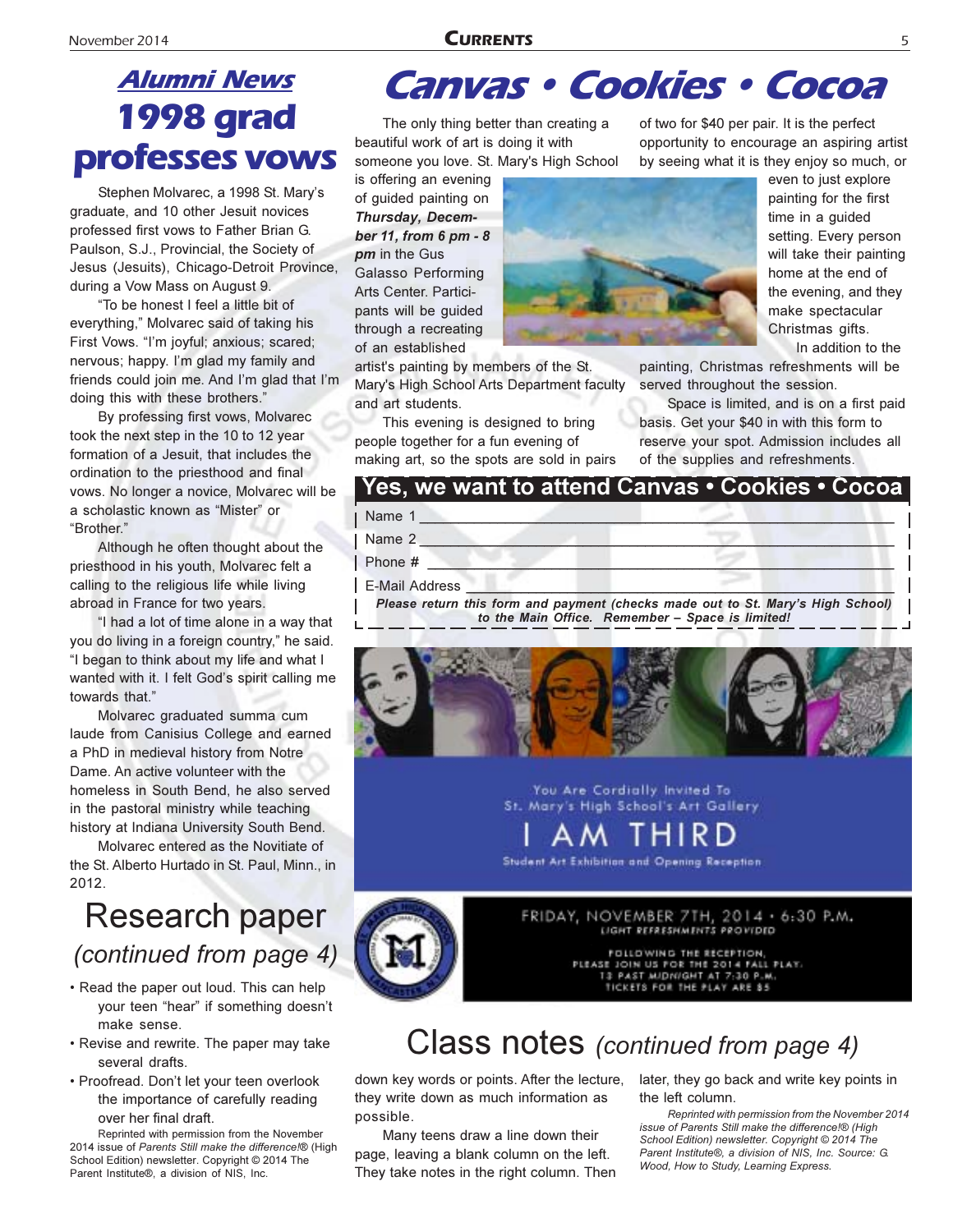#### **CURRENTS**

## **Alumni News 1998 grad** professes vows

Stephen Molvarec, a 1998 St. Mary's graduate, and 10 other Jesuit novices professed first vows to Father Brian G. Paulson, S.J., Provincial, the Society of Jesus (Jesuits), Chicago-Detroit Province, during a Vow Mass on August 9.

"To be honest I feel a little bit of everything," Molvarec said of taking his First Vows. "I'm joyful; anxious; scared; nervous; happy. I'm glad my family and friends could join me. And I'm glad that I'm doing this with these brothers."

By professing first vows, Molvarec took the next step in the 10 to 12 year formation of a Jesuit, that includes the ordination to the priesthood and final vows. No longer a novice, Molvarec will be a scholastic known as "Mister" or "Brother."

Although he often thought about the priesthood in his youth, Molvarec felt a calling to the religious life while living abroad in France for two years.

"I had a lot of time alone in a way that you do living in a foreign country," he said. "I began to think about my life and what I wanted with it. I felt God's spirit calling me towards that."

Molvarec graduated summa cum laude from Canisius College and earned a PhD in medieval history from Notre Dame. An active volunteer with the homeless in South Bend, he also served in the pastoral ministry while teaching history at Indiana University South Bend.

Molvarec entered as the Novitiate of the St. Alberto Hurtado in St. Paul, Minn., in 2012.

## Research paper (continued from page 4)

- Read the paper out loud. This can help your teen "hear" if something doesn't make sense.
- Revise and rewrite. The paper may take several drafts.
- Proofread. Don't let your teen overlook the importance of carefully reading over her final draft.

Reprinted with permission from the November 2014 issue of Parents Still make the difference!® (High School Edition) newsletter. Copyright © 2014 The Parent Institute®, a division of NIS, Inc.

## **Canvas • Cookies • Cocoa**

The only thing better than creating a beautiful work of art is doing it with someone you love. St. Mary's High School

is offering an evening of quided painting on Thursday, December 11, from 6 pm - 8 pm in the Gus Galasso Performing Arts Center. Participants will be quided through a recreating of an established

artist's painting by members of the St. Mary's High School Arts Department faculty

and art students. This evening is designed to bring

people together for a fun evening of making art, so the spots are sold in pairs of two for \$40 per pair. It is the perfect opportunity to encourage an aspiring artist by seeing what it is they enjoy so much, or

even to just explore painting for the first time in a quided setting. Every person will take their painting home at the end of the evening, and they make spectacular Christmas gifts. In addition to the

painting, Christmas refreshments will be served throughout the session.

Space is limited, and is on a first paid basis. Get your \$40 in with this form to reserve your spot. Admission includes all of the supplies and refreshments.

#### <u> Yes, we want to attend Canvas • Cookies • Cocoa</u> Name 1 Name 2 Phone # **E-Mail Address**

Please return this form and payment (checks made out to St. Mary's High School) to the Main Office. Remember - Space is limited!



You Are Cordially Invited To St. Mary's High School's Art Gallery

Student Art Exhibition and Opening Reception



FOLLOWING THE RECEPTION, PLEASE JOIN US FOR THE 2014 FALL PLAY. PAST MIDNIGHT AT 7-30 P.M. 13 TICKETS FOR THE PLAY ARE 35

## Class notes (continued from page 4)

down key words or points. After the lecture, they write down as much information as possible.

Many teens draw a line down their page, leaving a blank column on the left. They take notes in the right column. Then later, they go back and write key points in the left column.

Reprinted with permission from the November 2014 issue of Parents Still make the difference In (High School Edition) newsletter. Copyright © 2014 The Parent Institute®, a division of NIS, Inc. Source: G. Wood, How to Study, Learning Express.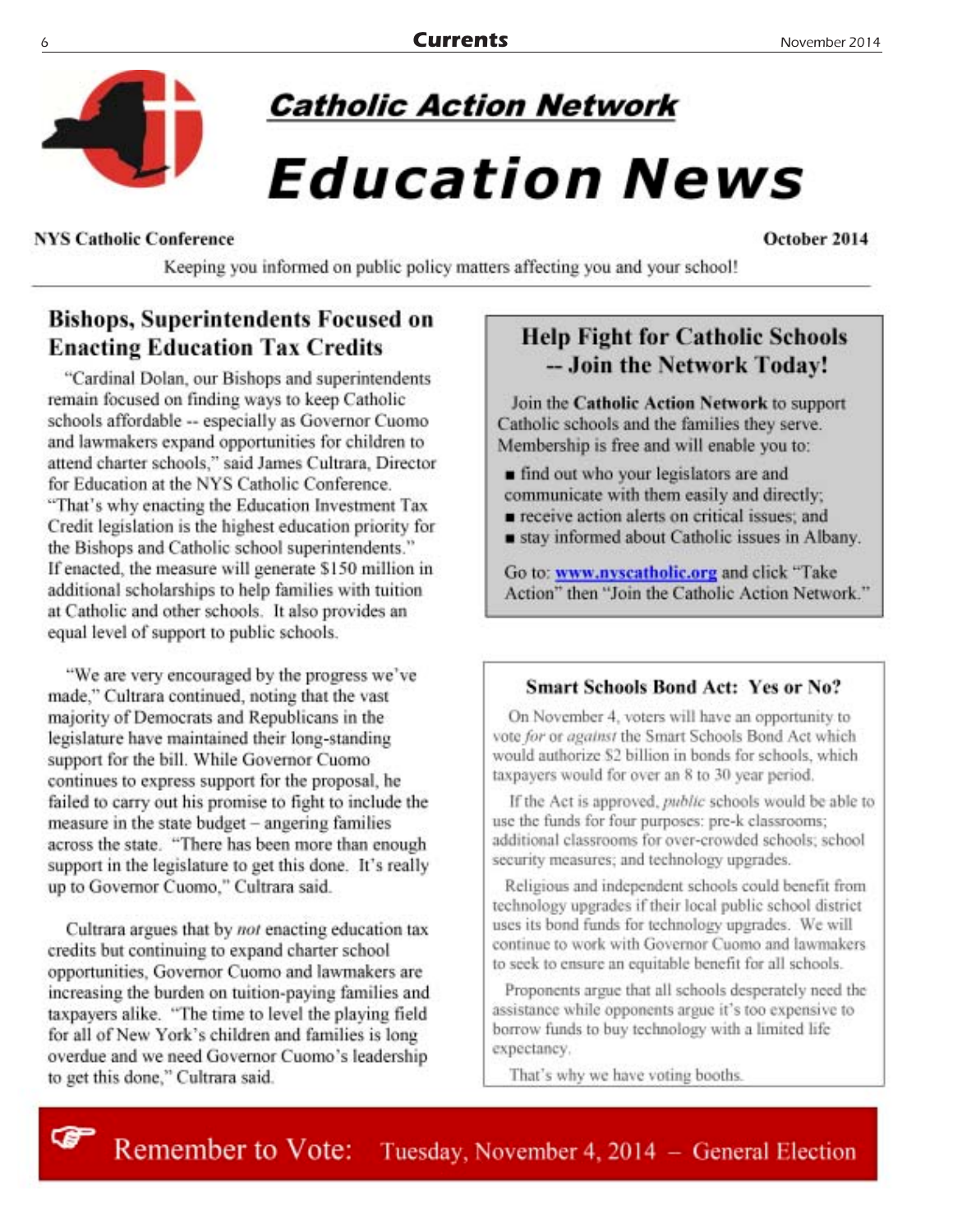

## **Catholic Action Network**

## *Education News*

#### **NYS Catholic Conference**

October 2014

Keeping you informed on public policy matters affecting you and your school!

#### **Bishops, Superintendents Focused on Enacting Education Tax Credits**

"Cardinal Dolan, our Bishops and superintendents remain focused on finding ways to keep Catholic schools affordable -- especially as Governor Cuomo and lawmakers expand opportunities for children to attend charter schools," said James Cultrara, Director for Education at the NYS Catholic Conference. "That's why enacting the Education Investment Tax Credit legislation is the highest education priority for the Bishops and Catholic school superintendents." If enacted, the measure will generate \$150 million in additional scholarships to help families with tuition at Catholic and other schools. It also provides an equal level of support to public schools.

"We are very encouraged by the progress we've made," Cultrara continued, noting that the vast majority of Democrats and Republicans in the legislature have maintained their long-standing support for the bill. While Governor Cuomo continues to express support for the proposal, he failed to carry out his promise to fight to include the measure in the state budget - angering families across the state. "There has been more than enough support in the legislature to get this done. It's really up to Governor Cuomo," Cultrara said.

Cultrara argues that by not enacting education tax credits but continuing to expand charter school opportunities, Governor Cuomo and lawmakers are increasing the burden on tuition-paying families and taxpayers alike. "The time to level the playing field for all of New York's children and families is long overdue and we need Governor Cuomo's leadership to get this done," Cultrara said.

œ

#### **Help Fight for Catholic Schools** -- Join the Network Today!

Join the Catholic Action Network to support Catholic schools and the families they serve. Membership is free and will enable you to:

- find out who your legislators are and communicate with them easily and directly;
- receive action alerts on critical issues; and
- stay informed about Catholic issues in Albany.

Go to: www.nvscatholic.org and click "Take Action" then "Join the Catholic Action Network."

#### **Smart Schools Bond Act: Yes or No?**

On November 4, voters will have an opportunity to vote for or against the Smart Schools Bond Act which would authorize \$2 billion in bonds for schools, which taxpayers would for over an 8 to 30 year period.

If the Act is approved, *public* schools would be able to use the funds for four purposes: pre-k classrooms; additional classrooms for over-crowded schools; school security measures; and technology upgrades.

Religious and independent schools could benefit from technology upgrades if their local public school district uses its bond funds for technology upgrades. We will continue to work with Governor Cuomo and lawmakers to seek to ensure an equitable benefit for all schools.

Proponents argue that all schools desperately need the assistance while opponents argue it's too expensive to borrow funds to buy technology with a limited life expectancy.

That's why we have voting booths.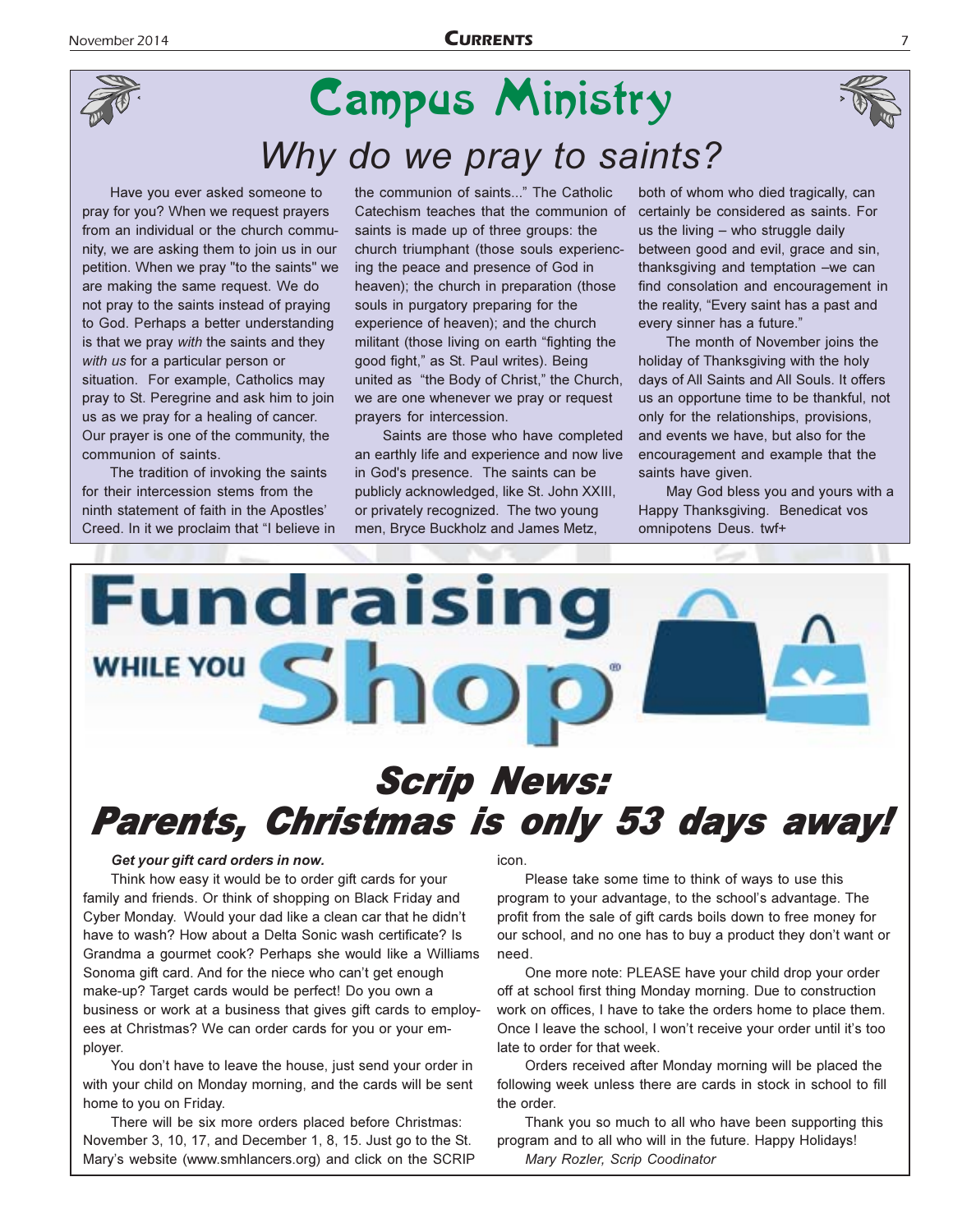

## **Campus Ministry** Why do we pray to saints?

Have you ever asked someone to pray for you? When we request prayers from an individual or the church community, we are asking them to join us in our petition. When we pray "to the saints" we are making the same request. We do not pray to the saints instead of praying to God. Perhaps a better understanding is that we pray with the saints and they with us for a particular person or situation. For example, Catholics may pray to St. Peregrine and ask him to join us as we pray for a healing of cancer. Our prayer is one of the community, the communion of saints.

The tradition of invoking the saints for their intercession stems from the ninth statement of faith in the Apostles' Creed. In it we proclaim that "I believe in

the communion of saints..." The Catholic Catechism teaches that the communion of saints is made up of three groups: the church triumphant (those souls experiencing the peace and presence of God in heaven); the church in preparation (those souls in purgatory preparing for the experience of heaven); and the church militant (those living on earth "fighting the good fight," as St. Paul writes). Being united as "the Body of Christ," the Church, we are one whenever we pray or request prayers for intercession.

Saints are those who have completed an earthly life and experience and now live in God's presence. The saints can be publicly acknowledged, like St. John XXIII, or privately recognized. The two young men, Bryce Buckholz and James Metz,

both of whom who died tragically, can certainly be considered as saints. For us the living - who struggle daily between good and evil, grace and sin, thanksgiving and temptation -we can find consolation and encouragement in the reality, "Every saint has a past and every sinner has a future."

The month of November joins the holiday of Thanksgiving with the holy days of All Saints and All Souls. It offers us an opportune time to be thankful, not only for the relationships, provisions, and events we have, but also for the encouragement and example that the saints have given.

May God bless you and yours with a Happy Thanksgiving. Benedicat vos omnipotens Deus. twf+



#### Get your gift card orders in now.

Think how easy it would be to order gift cards for your family and friends. Or think of shopping on Black Friday and Cyber Monday. Would your dad like a clean car that he didn't have to wash? How about a Delta Sonic wash certificate? Is Grandma a gourmet cook? Perhaps she would like a Williams Sonoma gift card. And for the niece who can't get enough make-up? Target cards would be perfect! Do you own a business or work at a business that gives gift cards to employees at Christmas? We can order cards for you or your emplover.

You don't have to leave the house, just send your order in with your child on Monday morning, and the cards will be sent home to you on Friday.

There will be six more orders placed before Christmas: November 3, 10, 17, and December 1, 8, 15. Just go to the St. Mary's website (www.smhlancers.org) and click on the SCRIP icon.

Please take some time to think of ways to use this program to your advantage, to the school's advantage. The profit from the sale of gift cards boils down to free money for our school, and no one has to buy a product they don't want or need.

One more note: PLEASE have your child drop your order off at school first thing Monday morning. Due to construction work on offices, I have to take the orders home to place them. Once I leave the school, I won't receive your order until it's too late to order for that week.

Orders received after Monday morning will be placed the following week unless there are cards in stock in school to fill the order.

Thank you so much to all who have been supporting this program and to all who will in the future. Happy Holidays! Mary Rozler, Scrip Coodinator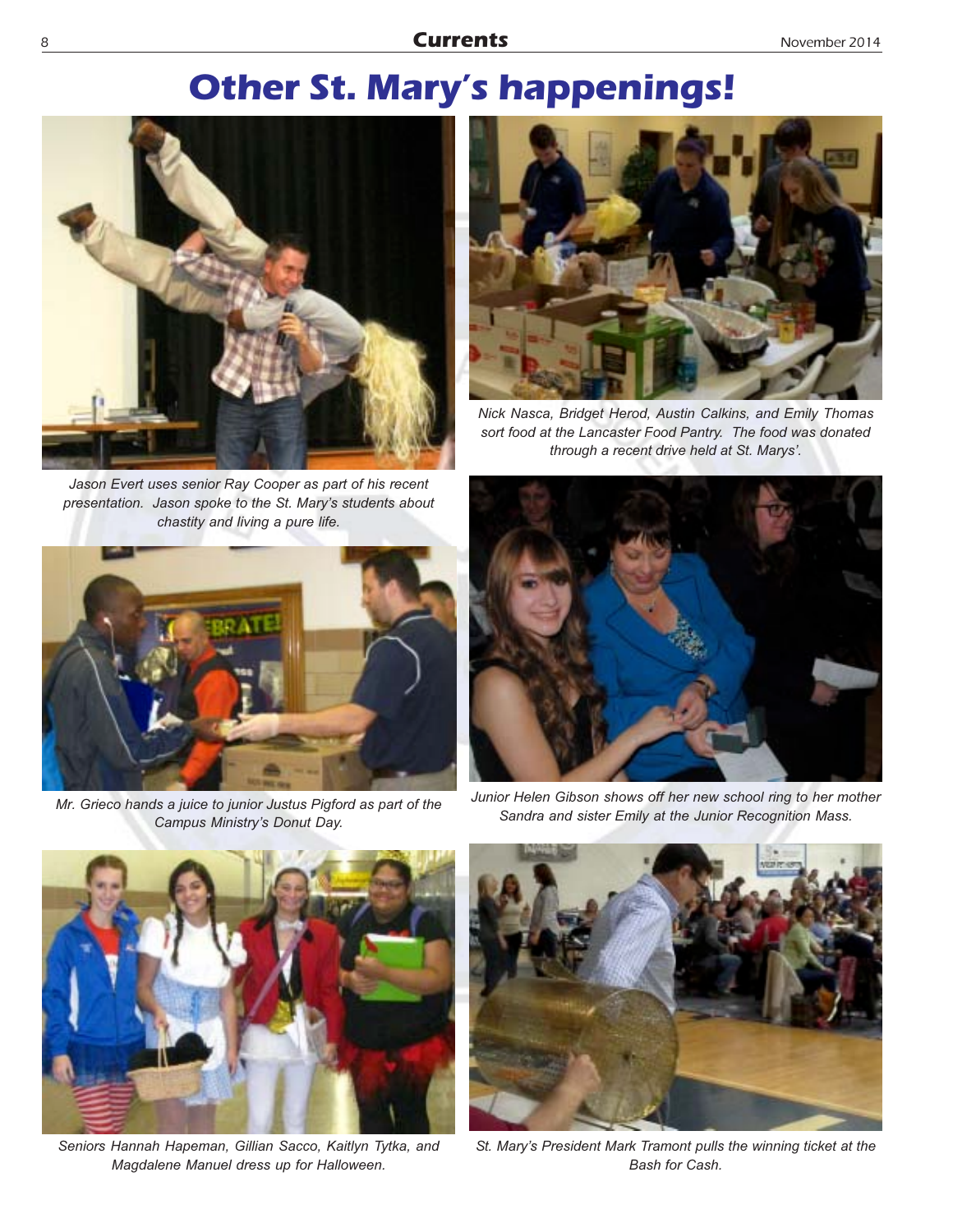## **Other St. Mary's happenings!**



Jason Evert uses senior Ray Cooper as part of his recent presentation. Jason spoke to the St. Mary's students about chastity and living a pure life.



Mr. Grieco hands a juice to junior Justus Pigford as part of the Campus Ministry's Donut Day.



Nick Nasca, Bridget Herod, Austin Calkins, and Emily Thomas sort food at the Lancaster Food Pantry. The food was donated through a recent drive held at St. Marys'.



Junior Helen Gibson shows off her new school ring to her mother Sandra and sister Emily at the Junior Recognition Mass.



Seniors Hannah Hapeman, Gillian Sacco, Kaitlyn Tytka, and Magdalene Manuel dress up for Halloween.



St. Mary's President Mark Tramont pulls the winning ticket at the Bash for Cash.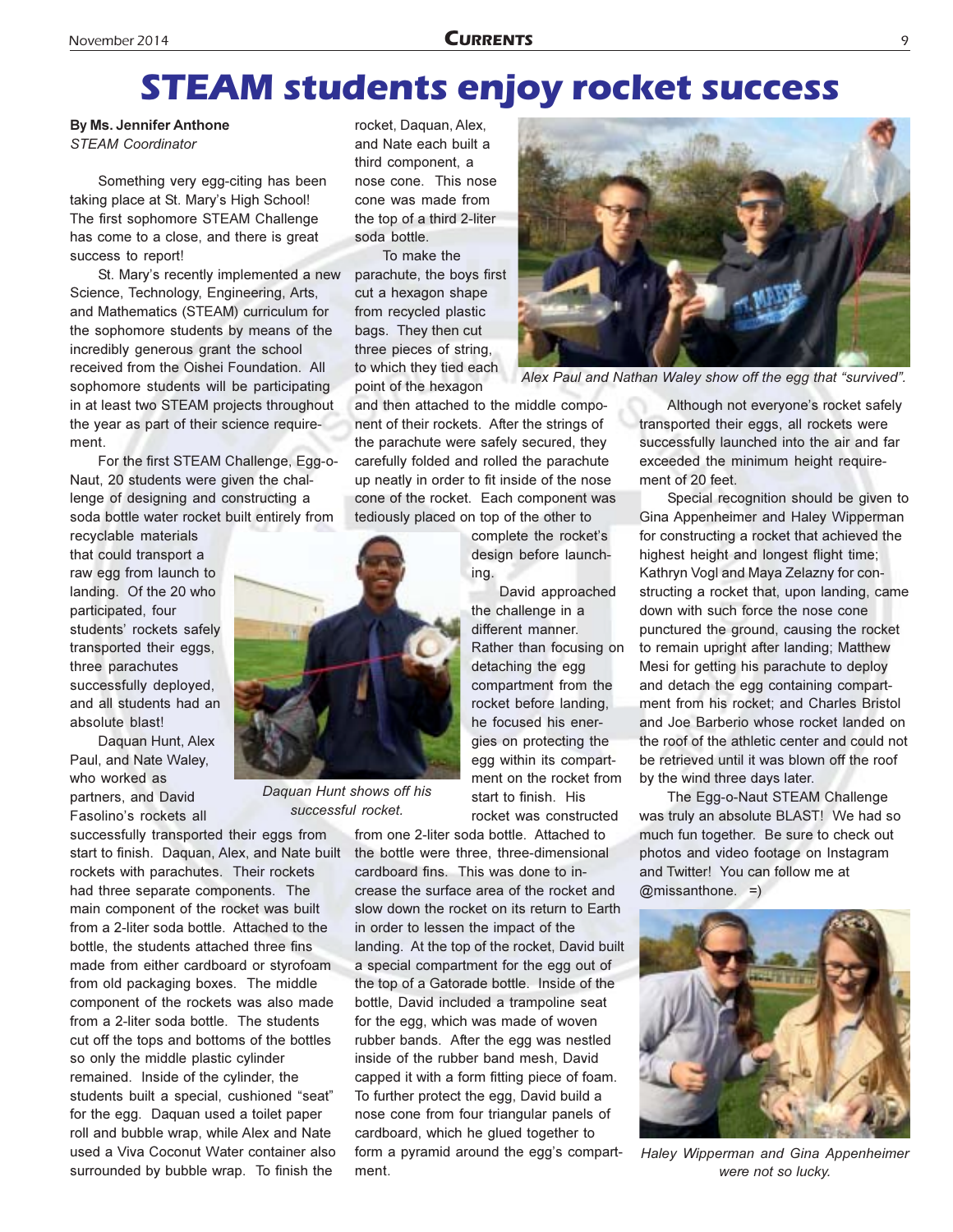## **STEAM students enjoy rocket success**

By Ms. Jennifer Anthone **STEAM Coordinator** 

Something very egg-citing has been taking place at St. Mary's High School! The first sophomore STEAM Challenge has come to a close, and there is great success to report!

St. Mary's recently implemented a new Science, Technology, Engineering, Arts, and Mathematics (STEAM) curriculum for the sophomore students by means of the incredibly generous grant the school received from the Oishei Foundation. All sophomore students will be participating in at least two STEAM projects throughout the year as part of their science requirement.

For the first STEAM Challenge, Egg-o-Naut, 20 students were given the challenge of designing and constructing a soda bottle water rocket built entirely from

recyclable materials that could transport a raw egg from launch to landing. Of the 20 who participated, four students' rockets safely transported their eggs, three parachutes successfully deployed, and all students had an absolute blast!

Daquan Hunt, Alex Paul, and Nate Waley, who worked as partners, and David Fasolino's rockets all

successfully transported their eggs from start to finish. Daquan, Alex, and Nate built rockets with parachutes. Their rockets had three separate components. The main component of the rocket was built from a 2-liter soda bottle. Attached to the bottle, the students attached three fins made from either cardboard or styrofoam from old packaging boxes. The middle component of the rockets was also made from a 2-liter soda bottle. The students cut off the tops and bottoms of the bottles so only the middle plastic cylinder remained. Inside of the cylinder, the students built a special, cushioned "seat" for the egg. Daquan used a toilet paper roll and bubble wrap, while Alex and Nate used a Viva Coconut Water container also surrounded by bubble wrap. To finish the

rocket, Daquan, Alex, and Nate each built a third component, a nose cone. This nose cone was made from the top of a third 2-liter soda bottle.

To make the parachute, the boys first cut a hexagon shape from recycled plastic bags. They then cut three pieces of string, to which they tied each point of the hexagon

and then attached to the middle component of their rockets. After the strings of the parachute were safely secured, they carefully folded and rolled the parachute up neatly in order to fit inside of the nose cone of the rocket. Each component was tediously placed on top of the other to

> complete the rocket's design before launching.

David approached the challenge in a different manner. Rather than focusing on detaching the egg compartment from the rocket before landing, he focused his energies on protecting the egg within its compartment on the rocket from start to finish. His rocket was constructed

from one 2-liter soda bottle. Attached to the bottle were three, three-dimensional cardboard fins. This was done to increase the surface area of the rocket and slow down the rocket on its return to Earth in order to lessen the impact of the landing. At the top of the rocket, David built a special compartment for the egg out of the top of a Gatorade bottle. Inside of the bottle, David included a trampoline seat for the egg, which was made of woven rubber bands. After the egg was nestled inside of the rubber band mesh, David capped it with a form fitting piece of foam. To further protect the egg, David build a nose cone from four triangular panels of cardboard, which he glued together to form a pyramid around the egg's compartment



Alex Paul and Nathan Waley show off the egg that "survived".

Although not everyone's rocket safely transported their eggs, all rockets were successfully launched into the air and far exceeded the minimum height requirement of 20 feet.

Special recognition should be given to Gina Appenheimer and Haley Wipperman for constructing a rocket that achieved the highest height and longest flight time; Kathryn Vogl and Maya Zelazny for constructing a rocket that, upon landing, came down with such force the nose cone punctured the ground, causing the rocket to remain upright after landing; Matthew Mesi for getting his parachute to deploy and detach the egg containing compartment from his rocket; and Charles Bristol and Joe Barberio whose rocket landed on the roof of the athletic center and could not be retrieved until it was blown off the roof by the wind three days later.

The Egg-o-Naut STEAM Challenge was truly an absolute BLAST! We had so much fun together. Be sure to check out photos and video footage on Instagram and Twitter! You can follow me at  $@missionthone. =)$ 



Haley Wipperman and Gina Appenheimer were not so lucky.



Daquan Hunt shows off his successful rocket.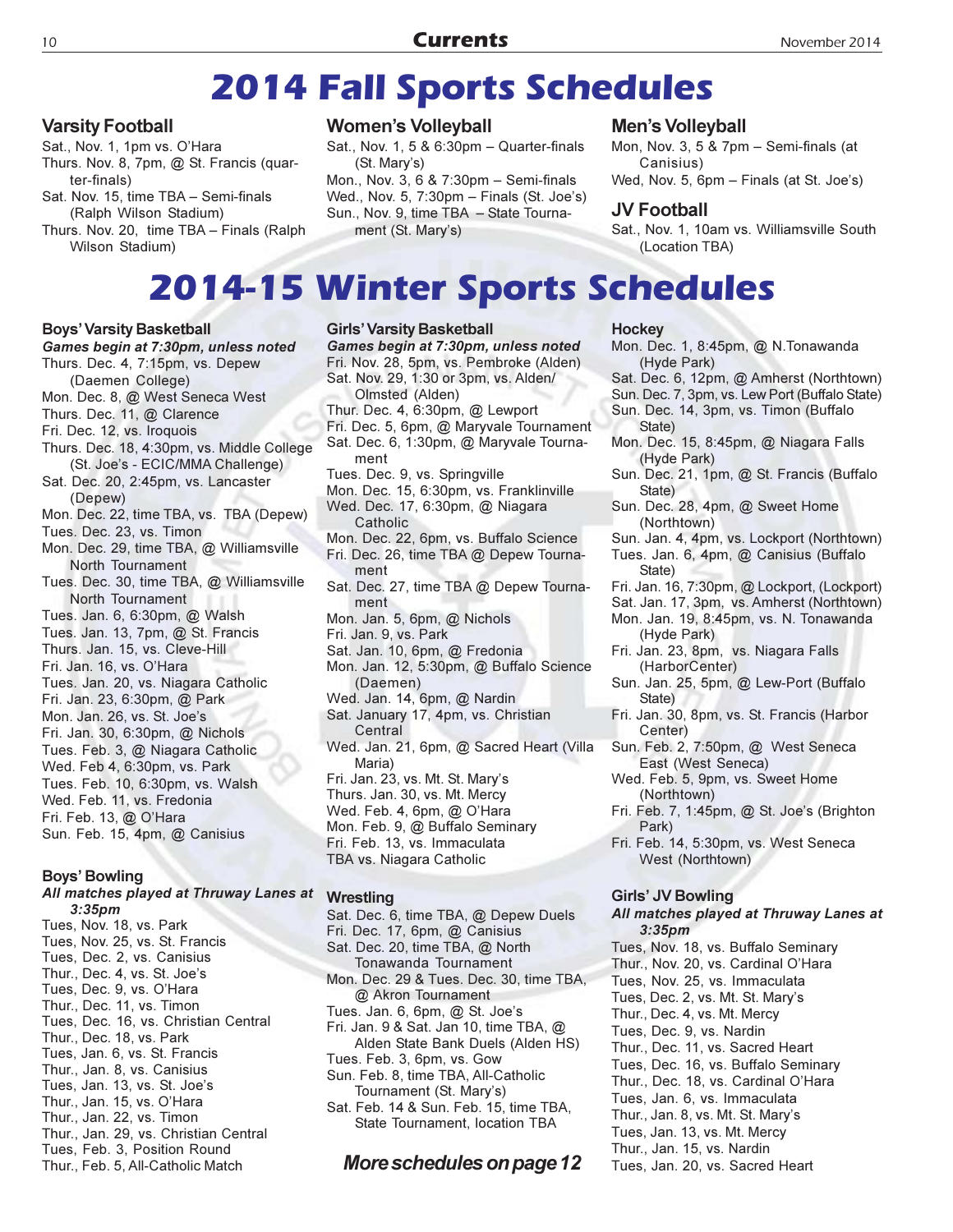## **2014 Fall Sports Schedules**

#### **Varsity Football**

Sat., Nov. 1, 1pm vs. O'Hara Thurs. Nov. 8, 7pm, @ St. Francis (quarter-finals)

Sat. Nov. 15, time TBA - Semi-finals (Ralph Wilson Stadium)

Thurs. Nov. 20, time TBA - Finals (Ralph Wilson Stadium)

#### **Women's Volleyball**

Sat., Nov. 1, 5 & 6:30pm - Quarter-finals (St. Mary's) Mon., Nov. 3, 6 & 7:30pm - Semi-finals Wed., Nov. 5, 7:30pm - Finals (St. Joe's) Sun., Nov. 9, time TBA - State Tournament (St. Mary's)

#### Men's Volleyball

Mon, Nov. 3, 5 & 7pm - Semi-finals (at Canisius)

Wed, Nov. 5, 6pm - Finals (at St. Joe's)

#### **JV Football**

Sat., Nov. 1, 10am vs. Williamsville South (Location TBA)

## **2014-15 Winter Sports Schedules**

#### **Boys' Varsity Basketball**

Games begin at 7:30pm, unless noted Thurs. Dec. 4, 7:15pm, vs. Depew (Daemen College) Mon. Dec. 8, @ West Seneca West Thurs. Dec. 11, @ Clarence Fri. Dec. 12, vs. Iroquois Thurs, Dec. 18, 4:30pm, vs. Middle College (St. Joe's - ECIC/MMA Challenge) Sat. Dec. 20, 2:45pm, vs. Lancaster (Depew) Mon. Dec. 22, time TBA, vs. TBA (Depew) Tues. Dec. 23, vs. Timon Mon. Dec. 29, time TBA, @ Williamsville North Tournament Tues. Dec. 30, time TBA, @ Williamsville North Tournament Tues. Jan. 6, 6:30pm, @ Walsh Tues. Jan. 13, 7pm, @ St. Francis Thurs, Jan. 15, vs. Cleve-Hill Fri. Jan. 16. vs. O'Hara Tues. Jan. 20, vs. Niagara Catholic Fri. Jan. 23, 6:30pm, @ Park Mon. Jan. 26, vs. St. Joe's Fri. Jan. 30, 6:30pm, @ Nichols Tues. Feb. 3, @ Niagara Catholic Wed. Feb 4, 6:30pm, vs. Park Tues. Feb. 10, 6:30pm, vs. Walsh Wed. Feb. 11, vs. Fredonia Fri. Feb. 13, @ O'Hara Sun. Feb. 15, 4pm, @ Canisius

#### Boys' Bowling

#### All matches played at Thruway Lanes at Wrestling  $3:35$ pm Tues, Nov. 18, vs. Park Tues, Nov. 25, vs. St. Francis

Tues, Dec. 2, vs. Canisius Thur., Dec. 4, vs. St. Joe's Tues, Dec. 9, vs. O'Hara Thur., Dec. 11, vs. Timon Tues, Dec. 16, vs. Christian Central Thur., Dec. 18, vs. Park Tues, Jan. 6, vs. St. Francis Thur., Jan. 8, vs. Canisius Tues, Jan. 13, vs. St. Joe's Thur., Jan. 15, vs. O'Hara Thur., Jan. 22, vs. Timon Thur., Jan. 29. vs. Christian Central Tues, Feb. 3, Position Round Thur., Feb. 5, All-Catholic Match

**Girls' Varsity Basketball** Games begin at 7:30pm, unless noted Fri. Nov. 28, 5pm, vs. Pembroke (Alden) Sat. Nov. 29, 1:30 or 3pm, vs. Alden/ Olmsted (Alden) Thur. Dec. 4, 6:30pm, @ Lewport Fri. Dec. 5, 6pm, @ Maryvale Tournament Sat. Dec. 6, 1:30pm, @ Maryvale Tournament Tues. Dec. 9, vs. Springville Mon. Dec. 15, 6:30pm, vs. Franklinville Wed. Dec. 17, 6:30pm, @ Niagara Catholic Mon. Dec. 22, 6pm, vs. Buffalo Science Fri. Dec. 26, time TBA @ Depew Tournament Sat. Dec. 27, time TBA @ Depew Tournament Mon. Jan. 5, 6pm, @ Nichols Fri. Jan. 9, vs. Park Sat. Jan. 10, 6pm, @ Fredonia Mon. Jan. 12, 5:30pm, @ Buffalo Science (Daemen) Wed. Jan. 14, 6pm, @ Nardin Sat. January 17, 4pm, vs. Christian Central Wed. Jan. 21, 6pm, @ Sacred Heart (Villa Maria) Fri. Jan. 23, vs. Mt. St. Mary's Thurs. Jan. 30, vs. Mt. Mercy Wed. Feb. 4, 6pm, @ O'Hara Mon. Feb. 9, @ Buffalo Seminary Fri. Feb. 13, vs. Immaculata TBA vs. Niagara Catholic

Sat. Dec. 6, time TBA, @ Depew Duels Fri. Dec. 17, 6pm, @ Canisius Sat. Dec. 20, time TBA, @ North Tonawanda Tournament Mon. Dec. 29 & Tues. Dec. 30, time TBA, @ Akron Tournament Tues. Jan. 6, 6pm, @ St. Joe's Fri. Jan. 9 & Sat. Jan 10, time TBA, @ Alden State Bank Duels (Alden HS) Tues. Feb. 3, 6pm, vs. Gow Sun. Feb. 8, time TBA, All-Catholic Tournament (St. Mary's) Sat. Feb. 14 & Sun. Feb. 15, time TBA, State Tournament. location TBA

#### More schedules on page 12

#### **Hockey**

Mon. Dec. 1, 8:45pm, @ N.Tonawanda (Hyde Park)

- Sat. Dec. 6, 12pm, @ Amherst (Northtown)
- Sun. Dec. 7, 3pm, vs. Lew Port (Buffalo State)
- Sun. Dec. 14, 3pm, vs. Timon (Buffalo State)
- Mon. Dec. 15, 8:45pm, @ Niagara Falls (Hyde Park)
- Sun. Dec. 21, 1pm, @ St. Francis (Buffalo State)
- Sun. Dec. 28, 4pm, @ Sweet Home (Northtown)
- Sun. Jan. 4, 4pm, vs. Lockport (Northtown)
- Tues. Jan. 6, 4pm, @ Canisius (Buffalo State)
- Fri. Jan. 16, 7:30pm, @ Lockport, (Lockport)
- Sat. Jan. 17, 3pm, vs. Amherst (Northtown)
- Mon. Jan. 19, 8:45pm, vs. N. Tonawanda (Hyde Park)
- Fri. Jan. 23, 8pm, vs. Niagara Falls (HarborCenter)
- Sun. Jan. 25, 5pm, @ Lew-Port (Buffalo State)
- Fri. Jan. 30, 8pm, vs. St. Francis (Harbor Center)
- Sun. Feb. 2, 7:50pm, @ West Seneca East (West Seneca)
- Wed. Feb. 5, 9pm, vs. Sweet Home (Northtown)
- Fri. Feb. 7, 1:45pm, @ St. Joe's (Brighton Park)
- Fri. Feb. 14, 5:30pm, vs. West Seneca West (Northtown)

#### **Girls' JV Bowling**

#### All matches played at Thruway Lanes at  $3:35<sub>pm</sub>$

Tues, Nov. 18, vs. Buffalo Seminary Thur., Nov. 20, vs. Cardinal O'Hara Tues, Nov. 25, vs. Immaculata Tues, Dec. 2, vs. Mt. St. Mary's Thur., Dec. 4, vs. Mt. Mercy Tues, Dec. 9, vs. Nardin Thur., Dec. 11, vs. Sacred Heart Tues, Dec. 16, vs. Buffalo Seminary Thur., Dec. 18, vs. Cardinal O'Hara Tues, Jan. 6, vs. Immaculata Thur., Jan. 8, vs. Mt. St. Mary's Tues, Jan. 13, vs. Mt. Mercy Thur., Jan. 15, vs. Nardin Tues, Jan. 20, vs. Sacred Heart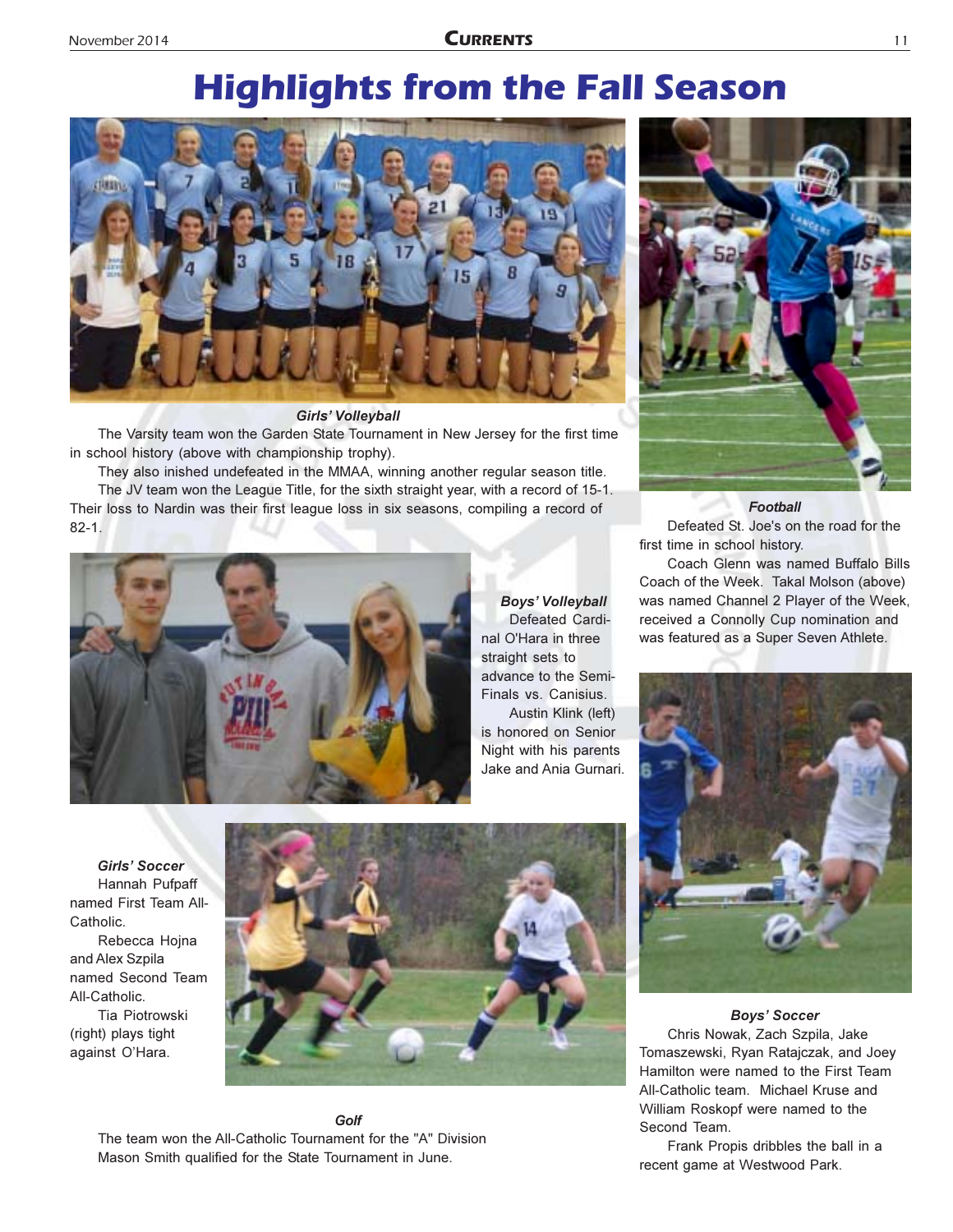## **Highlights from the Fall Season**



#### **Girls' Volleyball**

The Varsity team won the Garden State Tournament in New Jersey for the first time in school history (above with championship trophy).

They also inished undefeated in the MMAA, winning another regular season title. The JV team won the League Title, for the sixth straight year, with a record of 15-1. Their loss to Nardin was their first league loss in six seasons, compiling a record of  $82 - 1$ 



**Boys' Volleyball** Defeated Cardinal O'Hara in three straight sets to advance to the Semi-Finals vs. Canisius. Austin Klink (left)

is honored on Senior Night with his parents Jake and Ania Gurnari.



**Football** 

Defeated St. Joe's on the road for the first time in school history.

Coach Glenn was named Buffalo Bills Coach of the Week. Takal Molson (above) was named Channel 2 Player of the Week, received a Connolly Cup nomination and was featured as a Super Seven Athlete.



Hannah Pufpaff named First Team All-Catholic Rebecca Hojna and Alex Szpila named Second Team All-Catholic. Tia Piotrowski (right) plays tight against O'Hara.

**Girls' Soccer** 



Golf The team won the All-Catholic Tournament for the "A" Division Mason Smith qualified for the State Tournament in June.

**Boys' Soccer** Chris Nowak, Zach Szpila, Jake

Tomaszewski, Ryan Ratajczak, and Joey Hamilton were named to the First Team All-Catholic team. Michael Kruse and William Roskopf were named to the Second Team.

Frank Propis dribbles the ball in a recent game at Westwood Park.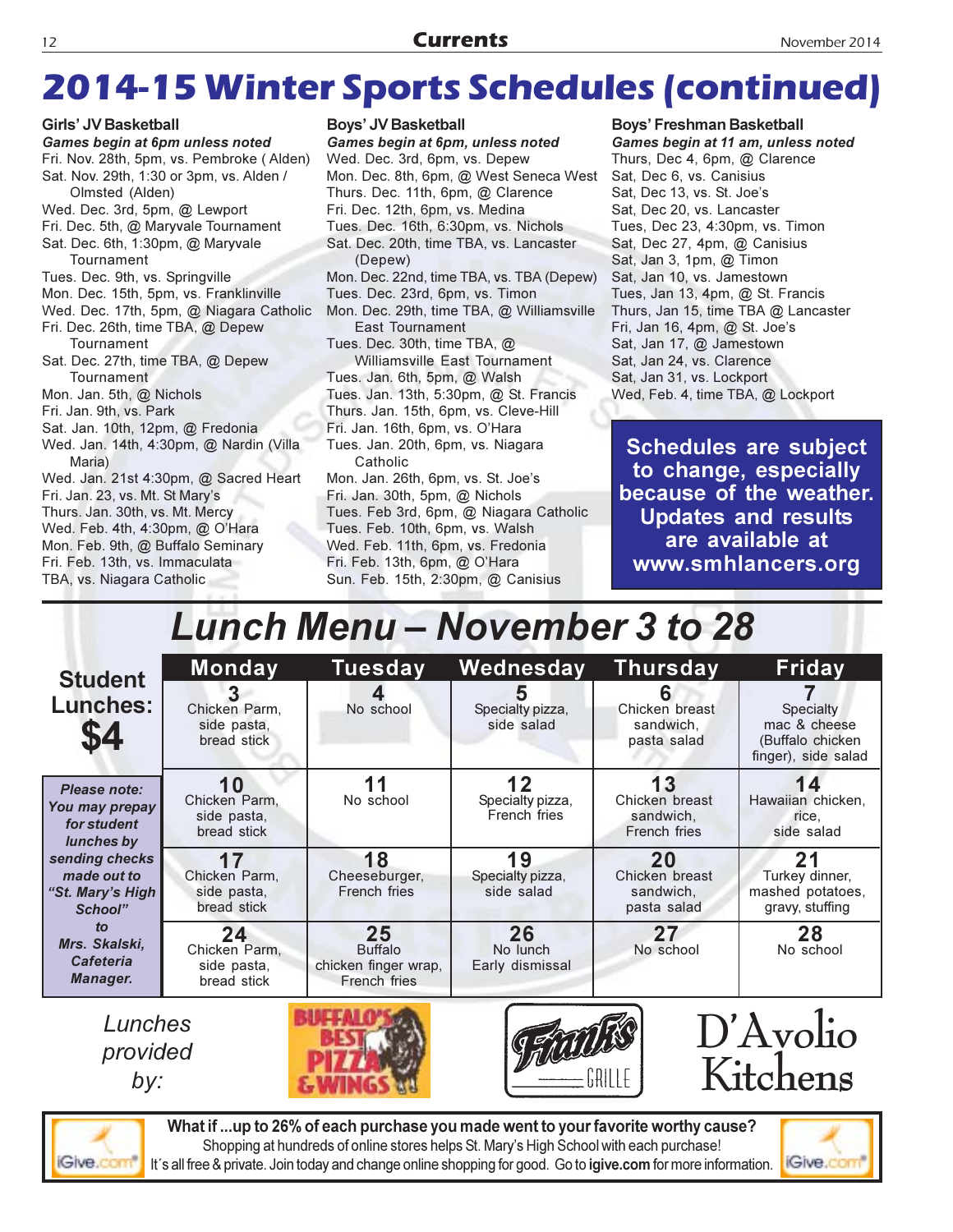## 2014-15 Winter Sports Schedules (continued)

Girls' JV Basketball Games begin at 6pm unless noted Fri. Nov. 28th, 5pm, vs. Pembroke (Alden) Sat. Nov. 29th, 1:30 or 3pm, vs. Alden / Olmsted (Alden) Wed. Dec. 3rd, 5pm, @ Lewport Fri. Dec. 5th, @ Maryvale Tournament Sat. Dec. 6th, 1:30pm, @ Maryvale Tournament Tues. Dec. 9th, vs. Springville Mon. Dec. 15th, 5pm, vs. Franklinville Wed. Dec. 17th, 5pm, @ Niagara Catholic Fri. Dec. 26th, time TBA, @ Depew Tournament Sat. Dec. 27th, time TBA, @ Depew Tournament Mon. Jan. 5th, @ Nichols Fri. Jan. 9th, vs. Park Sat. Jan. 10th, 12pm, @ Fredonia Wed. Jan. 14th, 4:30pm, @ Nardin (Villa Maria) Wed. Jan. 21st 4:30pm, @ Sacred Heart Fri. Jan. 23, vs. Mt. St Mary's Thurs. Jan. 30th, vs. Mt. Mercy Wed. Feb. 4th, 4:30pm, @ O'Hara Mon. Feb. 9th, @ Buffalo Seminary Fri. Feb. 13th, vs. Immaculata TBA, vs. Niagara Catholic

#### Boys' JV Basketball

Games begin at 6pm, unless noted Wed. Dec. 3rd, 6pm, vs. Depew Mon. Dec. 8th, 6pm, @ West Seneca West Thurs. Dec. 11th, 6pm, @ Clarence Fri. Dec. 12th, 6pm, vs. Medina Tues. Dec. 16th, 6:30pm, vs. Nichols Sat. Dec. 20th, time TBA, vs. Lancaster (Depew) Mon. Dec. 22nd, time TBA, vs. TBA (Depew) Tues. Dec. 23rd, 6pm, vs. Timon Mon. Dec. 29th, time TBA, @ Williamsville **East Tournament** Tues. Dec. 30th, time TBA, @ Williamsville East Tournament Tues. Jan. 6th, 5pm, @ Walsh Tues. Jan. 13th, 5:30pm, @ St. Francis Thurs. Jan. 15th, 6pm, vs. Cleve-Hill Fri. Jan. 16th, 6pm, vs. O'Hara Tues. Jan. 20th, 6pm, vs. Niagara Catholic Mon. Jan. 26th, 6pm, vs. St. Joe's Fri. Jan. 30th, 5pm, @ Nichols Tues. Feb 3rd, 6pm, @ Niagara Catholic Tues. Feb. 10th, 6pm, vs. Walsh

Thurs, Dec 4, 6pm, @ Clarence Sat, Dec 6, vs. Canisius Sat, Dec 13, vs. St. Joe's Sat. Dec 20. vs. Lancaster Tues, Dec 23, 4:30pm, vs. Timon Sat, Dec 27, 4pm, @ Canisius Sat, Jan 3, 1pm, @ Timon Sat, Jan 10, vs. Jamestown Tues, Jan 13, 4pm, @ St. Francis Thurs, Jan 15, time TBA @ Lancaster Fri, Jan 16, 4pm, @ St. Joe's Sat, Jan 17, @ Jamestown Sat, Jan 24, vs. Clarence Sat, Jan 31, vs. Lockport Wed, Feb. 4, time TBA, @ Lockport

**Boys' Freshman Basketball** 

Games begin at 11 am, unless noted

**Schedules are subject** to change, especially because of the weather. **Updates and results** are available at www.smhlancers.org

## **Lunch Menu – November 3 to 28**

Wed. Feb. 11th, 6pm, vs. Fredonia

Sun. Feb. 15th, 2:30pm, @ Canisius

Fri. Feb. 13th, 6pm, @ O'Hara

| <b>Student</b>                                                                                                                                                                               | <b>Monday</b>                                     | <b>Tuesday</b>                                               | Wednesday                              | <b>Thursday</b>                                   | Friday                                                               |
|----------------------------------------------------------------------------------------------------------------------------------------------------------------------------------------------|---------------------------------------------------|--------------------------------------------------------------|----------------------------------------|---------------------------------------------------|----------------------------------------------------------------------|
| <b>Lunches:</b><br>\$4                                                                                                                                                                       | 3<br>Chicken Parm,<br>side pasta,<br>bread stick  | No school                                                    | Specialty pizza,<br>side salad         | Chicken breast<br>sandwich,<br>pasta salad        | Specialty<br>mac & cheese<br>(Buffalo chicken<br>finger), side salad |
| Please note:<br>You may prepay<br>for student<br>lunches by<br>sending checks<br>made out to<br>"St. Mary's High<br>School"<br>$\mathbf{f}$<br>Mrs. Skalski,<br><b>Cafeteria</b><br>Manager. | 10<br>Chicken Parm,<br>side pasta,<br>bread stick | 11<br>No school                                              | 12<br>Specialty pizza,<br>French fries | 13<br>Chicken breast<br>sandwich,<br>French fries | 14<br>Hawaiian chicken,<br>rice.<br>side salad                       |
|                                                                                                                                                                                              | 17<br>Chicken Parm,<br>side pasta,<br>bread stick | 18<br>Cheeseburger,<br>French fries                          | 19<br>Specialty pizza,<br>side salad   | 20<br>Chicken breast<br>sandwich,<br>pasta salad  | 21<br>Turkey dinner,<br>mashed potatoes,<br>gravy, stuffing          |
|                                                                                                                                                                                              | 24<br>Chicken Parm,<br>side pasta,<br>bread stick | 25<br><b>Buffalo</b><br>chicken finger wrap,<br>French fries | 26<br>No lunch<br>Early dismissal      | 27<br>No school                                   | 28<br>No school                                                      |
| Lunches<br>provided<br>by:                                                                                                                                                                   |                                                   |                                                              |                                        |                                                   | D'Avolio<br>Kitchens                                                 |



What if ...up to 26% of each purchase you made went to your favorite worthy cause? Shopping at hundreds of online stores helps St. Mary's High School with each purchase! It's all free & private. Join today and change online shopping for good. Go to igive.com for more information.

**SAMIMOS AR** 

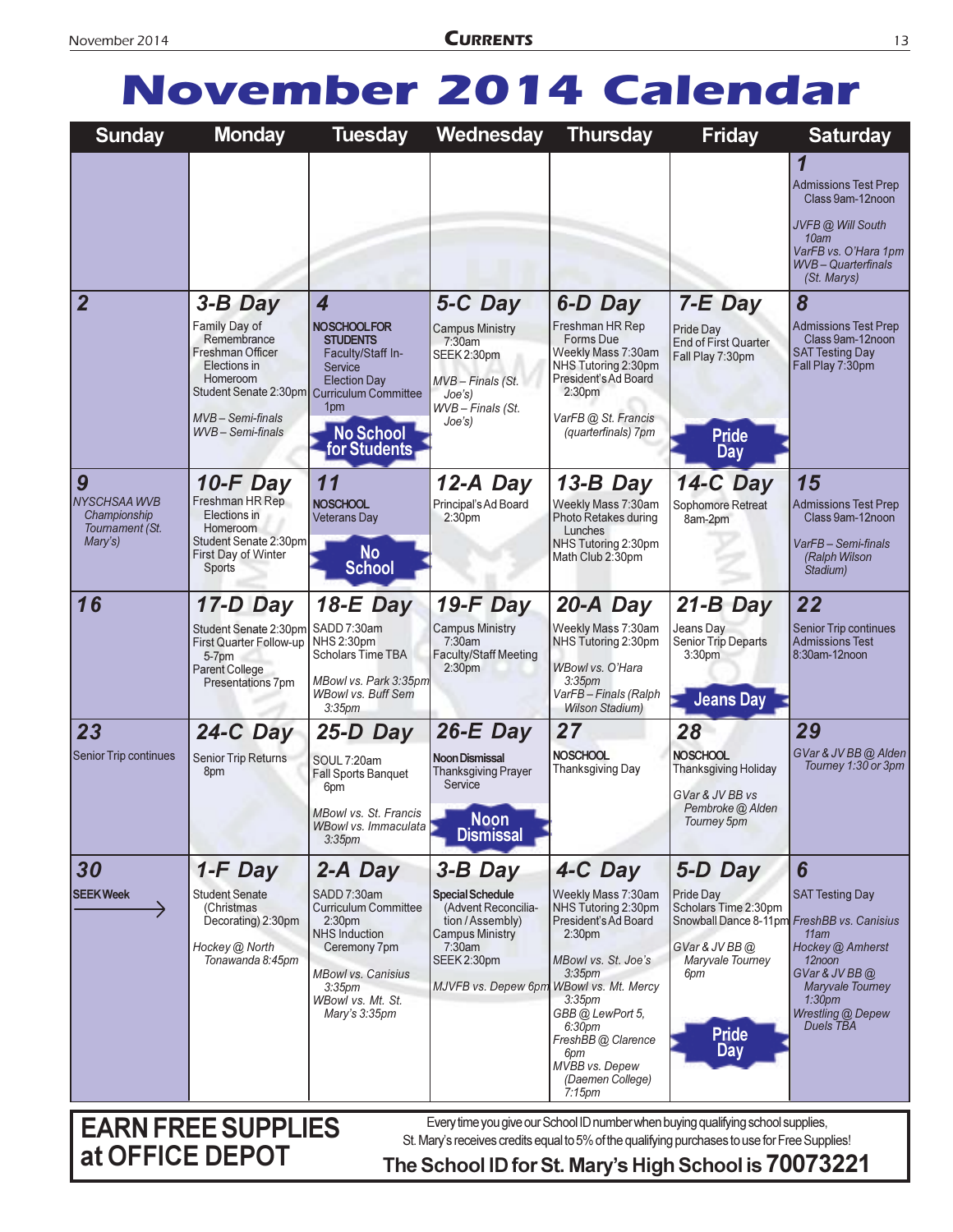## **November 2014 Calendar**

| <b>Sunday</b>                                                   | <b>Monday</b>                                                                                                                                                                   | <b>Tuesday</b>                                                                                                                                                                                               | Wednesday                                                                                                                                                                       | <b>Thursday</b>                                                                                                                                                                                                                                                                   | <b>Friday</b>                                                                                                                                                  | <b>Saturday</b>                                                                                                                                                |
|-----------------------------------------------------------------|---------------------------------------------------------------------------------------------------------------------------------------------------------------------------------|--------------------------------------------------------------------------------------------------------------------------------------------------------------------------------------------------------------|---------------------------------------------------------------------------------------------------------------------------------------------------------------------------------|-----------------------------------------------------------------------------------------------------------------------------------------------------------------------------------------------------------------------------------------------------------------------------------|----------------------------------------------------------------------------------------------------------------------------------------------------------------|----------------------------------------------------------------------------------------------------------------------------------------------------------------|
|                                                                 |                                                                                                                                                                                 |                                                                                                                                                                                                              |                                                                                                                                                                                 |                                                                                                                                                                                                                                                                                   |                                                                                                                                                                | 1<br><b>Admissions Test Prep</b><br>Class 9am-12noon<br>JVFB @ Will South<br>10am<br>VarFB vs. O'Hara 1pm<br><b>WVB</b> - Quarterfinals<br>(St. Marys)         |
| $\overline{2}$                                                  | 3-B Day<br>Family Day of<br>Remembrance<br>Freshman Officer<br>Elections in<br>Homeroom<br>Student Senate 2:30pm Curriculum Committee<br>$MVB - Semi-finals$<br>WVB-Semi-finals | 4<br><b>NOSCHOOLFOR</b><br><b>STUDENTS</b><br>Faculty/Staff In-<br>Service<br><b>Election Day</b><br>1 <sub>pm</sub><br><b>No School</b><br>for Students                                                     | 5-C Day<br><b>Campus Ministry</b><br>7:30am<br>SEEK 2:30pm<br>MVB - Finals (St.<br>Joe's)<br>WVB-Finals (St.<br>Joe's)                                                          | 6-D Day<br>Freshman HR Rep<br>Forms Due<br>Weekly Mass 7:30am<br>NHS Tutoring 2:30pm<br>President's Ad Board<br>2:30 <sub>pm</sub><br>VarFB @ St. Francis<br>(quarterfinals) 7pm                                                                                                  | 7-E Day<br>Pride Day<br><b>End of First Quarter</b><br>Fall Play 7:30pm<br><b>Pride</b><br><b>Day</b>                                                          | 8<br><b>Admissions Test Prep</b><br>Class 9am-12noon<br><b>SAT Testing Day</b><br>Fall Play 7:30pm                                                             |
| 9<br>NYSCHSAA WVB<br>Championship<br>Tournament (St.<br>Mary's) | 10-F Day<br>Freshman HR Rep<br>Elections in<br><b>Homeroom</b><br>Student Senate 2:30pm<br>First Day of Winter<br>Sports                                                        | 11<br><b>NOSCHOOL</b><br><b>Veterans Day</b><br><b>No</b><br><b>School</b>                                                                                                                                   | 12-A Day<br>Principal's Ad Board<br>2:30pm                                                                                                                                      | 13-B Day<br>Weekly Mass 7:30am<br>Photo Retakes during<br>Lunches<br>NHS Tutoring 2:30pm<br>Math Club 2:30pm                                                                                                                                                                      | 14-C Day<br>Sophomore Retreat<br>8am-2pm                                                                                                                       | 15<br><b>Admissions Test Prep</b><br>Class 9am-12noon<br>VarFB-Semi-finals<br>(Ralph Wilson<br>Stadium)                                                        |
| 16                                                              | 17-D Day<br>Student Senate 2:30pm<br><b>First Quarter Follow-up</b><br>5-7pm<br><b>Parent College</b><br>Presentations 7pm                                                      | $18-E$ Day<br>SADD 7:30am<br>NHS 2:30pm<br><b>Scholars Time TBA</b><br>MBowl vs. Park 3:35pm<br><b>WBowl vs. Buff Sem</b><br>3:35 <sub>pm</sub>                                                              | $19-F$ Day<br><b>Campus Ministry</b><br>7:30am<br><b>Faculty/Staff Meeting</b><br>2:30 <sub>pm</sub>                                                                            | 20-A Day<br>Weekly Mass 7:30am<br>NHS Tutoring 2:30pm<br>WBowl vs. O'Hara<br>3:35 <sub>pm</sub><br>VarFB-Finals (Ralph<br><b>Wilson Stadium)</b>                                                                                                                                  | $21-B$ Day<br>Jeans Day<br>Senior Trip Departs<br>3:30pm<br><b>Jeans Day</b>                                                                                   | 22<br><b>Senior Trip continues</b><br><b>Admissions Test</b><br>8:30am-12noon                                                                                  |
| 23<br>Senior Trip continues                                     | $24-C$ Day<br>Senior Trip Returns<br>8pm                                                                                                                                        | $25-D$ Day<br>SOUL 7:20am<br><b>Fall Sports Banquet</b><br>6pm<br>MBowl vs. St. Francis<br>WBowl vs. Immaculata<br>3.35 <sub>pm</sub>                                                                        | $26-E$ Day<br><b>Noon Dismissal</b><br><b>Thanksgiving Prayer</b><br>Service<br><b>Noon</b><br><b>Dismissal</b>                                                                 | 27<br><b>NOSCHOOL</b><br><b>Thanksgiving Day</b>                                                                                                                                                                                                                                  | 28<br><b>NOSCHOOL</b><br><b>Thanksgiving Holiday</b><br>GVar & JV BB vs<br>Pembroke @ Alden<br>Tourney 5pm                                                     | 29<br>GVar & JV BB @ Alden<br>Tourney 1:30 or 3pm                                                                                                              |
| 30<br><b>SEEK Week</b>                                          | $1-F$ Day<br><b>Student Senate</b><br>(Christmas)<br>Decorating) 2:30pm<br>Hockey @ North<br>Tonawanda 8:45pm                                                                   | 2-A Day<br>SADD 7:30am<br><b>Curriculum Committee</b><br>2:30 <sub>pm</sub><br><b>NHS Induction</b><br>Ceremony 7pm<br><b>MBowl vs. Canisius</b><br>3.35 <sub>pm</sub><br>WBowl vs. Mt. St.<br>Mary's 3:35pm | $3 - B$ Day<br><b>Special Schedule</b><br>(Advent Reconcilia-<br>tion / Assembly)<br><b>Campus Ministry</b><br>7:30am<br>SEEK 2:30pm<br>MJVFB vs. Depew 6pm WBowl vs. Mt. Mercy | 4-C Day<br>Weekly Mass 7:30am<br>NHS Tutoring 2:30pm<br>President's Ad Board<br>2:30 <sub>pm</sub><br>MBowl vs. St. Joe's<br>3:35 <sub>dm</sub><br>3:35 <sub>pm</sub><br>GBB @ LewPort 5,<br>6:30pm<br>FreshBB@Clarence<br>6pm<br>MVBB vs. Depew<br>(Daemen College)<br>$7:15$ pm | 5-D Day<br>Pride Day<br>Scholars Time 2:30pm<br>Snowball Dance 8-11pm FreshBB vs. Canisius<br>GVar & JV BB @<br>Maryvale Tourney<br>6pm<br><b>Pride</b><br>Day | 6<br><b>SAT Testing Day</b><br>11am<br>Hockey @ Amherst<br>12noon<br>GVar & JV BB@<br>Maryvale Tourney<br>1:30 <sub>pm</sub><br>Wrestling @ Depew<br>Duels TBA |
|                                                                 | <b>EADMEDEE CURBLIES</b>                                                                                                                                                        |                                                                                                                                                                                                              | Eyen time you give our School ID number when buying au alifying school supplies                                                                                                 |                                                                                                                                                                                                                                                                                   |                                                                                                                                                                |                                                                                                                                                                |

**EARN FREE SUPPLIES** at OFFICE DEPOT

Every time you give our School ID number when buying qualifying school supplies, St. Mary's receives credits equal to 5% of the qualifying purchases to use for Free Supplies!

#### The School ID for St. Mary's High School is 70073221